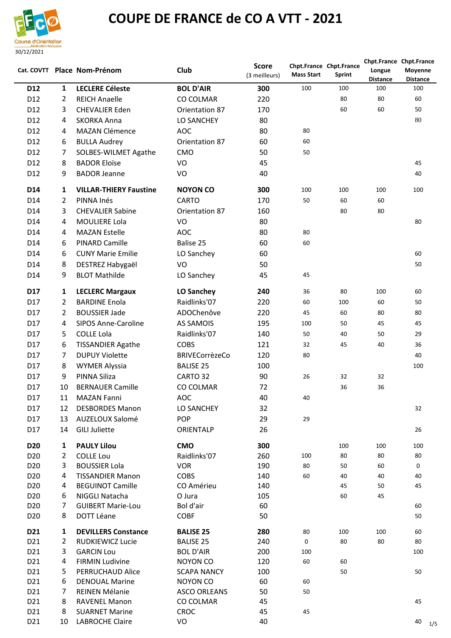

## **COUPE DE FRANCE de CO A VTT - 2021**

|                 |                | Cat. COVTT Place Nom-Prénom                 | Club                  | <b>Score</b><br>(3 meilleurs) | <b>Mass Start</b> | Chpt.France Chpt.France<br><b>Sprint</b> | Longue<br><b>Distance</b> | Chpt.France Chpt.France<br>Moyenne<br><b>Distance</b> |
|-----------------|----------------|---------------------------------------------|-----------------------|-------------------------------|-------------------|------------------------------------------|---------------------------|-------------------------------------------------------|
| D <sub>12</sub> | $\mathbf{1}$   | <b>LECLERE Céleste</b>                      | <b>BOL D'AIR</b>      | 300                           | 100               | 100                                      | 100                       | 100                                                   |
| D12             | 2              | <b>REICH Anaelle</b>                        | CO COLMAR             | 220                           |                   | 80                                       | 80                        | 60                                                    |
| D <sub>12</sub> | 3              | <b>CHEVALIER Eden</b>                       | Orientation 87        | 170                           |                   | 60                                       | 60                        | 50                                                    |
| D <sub>12</sub> | 4              | <b>SKORKA Anna</b>                          | LO SANCHEY            | 80                            |                   |                                          |                           | 80                                                    |
| D12             | 4              | <b>MAZAN Clémence</b>                       | <b>AOC</b>            | 80                            | 80                |                                          |                           |                                                       |
| D <sub>12</sub> | 6              | <b>BULLA Audrey</b>                         | Orientation 87        | 60                            | 60                |                                          |                           |                                                       |
| D12             | 7              | <b>SOLBES-WILMET Agathe</b>                 | CMO                   | 50                            | 50                |                                          |                           |                                                       |
| D12             | 8              | <b>BADOR Eloïse</b>                         | VO                    | 45                            |                   |                                          |                           | 45                                                    |
| D <sub>12</sub> | 9              | <b>BADOR Jeanne</b>                         | VO                    | 40                            |                   |                                          |                           | 40                                                    |
|                 |                |                                             |                       |                               |                   |                                          |                           |                                                       |
| D14             | 1              | <b>VILLAR-THIERY Faustine</b><br>PINNA Inés | <b>NOYON CO</b>       | 300                           | 100               | 100                                      | 100                       | 100                                                   |
| D <sub>14</sub> | $\overline{2}$ |                                             | <b>CARTO</b>          | 170                           | 50                | 60                                       | 60                        |                                                       |
| D <sub>14</sub> | 3              | <b>CHEVALIER Sabine</b>                     | Orientation 87        | 160                           |                   | 80                                       | 80                        |                                                       |
| D14             | 4              | <b>MOULIERE Lola</b>                        | VO                    | 80                            |                   |                                          |                           | 80                                                    |
| D <sub>14</sub> | 4              | <b>MAZAN Estelle</b>                        | <b>AOC</b>            | 80                            | 80                |                                          |                           |                                                       |
| D14             | 6              | <b>PINARD Camille</b>                       | Balise 25             | 60                            | 60                |                                          |                           |                                                       |
| D14             | 6              | <b>CUNY Marie Emilie</b>                    | LO Sanchey            | 60                            |                   |                                          |                           | 60                                                    |
| D <sub>14</sub> | 8              | DESTREZ Habygaël                            | VO                    | 50                            |                   |                                          |                           | 50                                                    |
| D14             | 9              | <b>BLOT Mathilde</b>                        | LO Sanchey            | 45                            | 45                |                                          |                           |                                                       |
| D <sub>17</sub> | 1              | <b>LECLERC Margaux</b>                      | LO Sanchey            | 240                           | 36                | 80                                       | 100                       | 60                                                    |
| D17             | 2              | <b>BARDINE Enola</b>                        | Raidlinks'07          | 220                           | 60                | 100                                      | 60                        | 50                                                    |
| D17             | 2              | <b>BOUSSIER Jade</b>                        | ADOChenôve            | 220                           | 45                | 60                                       | 80                        | 80                                                    |
| D17             | 4              | <b>SIPOS Anne-Caroline</b>                  | AS SAMOIS             | 195                           | 100               | 50                                       | 45                        | 45                                                    |
| D17             | 5              | <b>COLLE Lola</b>                           | Raidlinks'07          | 140                           | 50                | 40                                       | 50                        | 29                                                    |
| D17             | 6              | <b>TISSANDIER Agathe</b>                    | <b>COBS</b>           | 121                           | 32                | 45                                       | 40                        | 36                                                    |
| D17             | 7              | <b>DUPUY Violette</b>                       | <b>BRIVECorrèzeCo</b> | 120                           | 80                |                                          |                           | 40                                                    |
| D17             | 8              | <b>WYMER Alyssia</b>                        | <b>BALISE 25</b>      | 100                           |                   |                                          |                           | 100                                                   |
| D17             | 9              | PINNA Siliza                                | CARTO 32              | 90                            | 26                | 32                                       | 32                        |                                                       |
| D17             | 10             | <b>BERNAUER Camille</b>                     | CO COLMAR             | 72                            |                   | 36                                       | 36                        |                                                       |
| D17             | 11             | MAZAN Fanni                                 | AOC                   | 40                            | 40                |                                          |                           |                                                       |
| D17             |                | 12 DESBORDES Manon                          | LO SANCHEY            | 32                            |                   |                                          |                           | 32                                                    |
| D17             |                | 13 AUZELOUX Salomé                          | <b>POP</b>            | 29                            | 29                |                                          |                           |                                                       |
| D17             | 14             | <b>GILI Juliette</b>                        | ORIENTALP             | 26                            |                   |                                          |                           | 26                                                    |
| <b>D20</b>      |                | <b>PAULY Lilou</b>                          | <b>CMO</b>            | 300                           |                   |                                          |                           |                                                       |
| D <sub>20</sub> | 1<br>2         | <b>COLLE Lou</b>                            | Raidlinks'07          | 260                           | 100               | 100<br>80                                | 100<br>80                 | 100<br>80                                             |
| D <sub>20</sub> | 3              | <b>BOUSSIER Lola</b>                        | <b>VOR</b>            | 190                           | 80                | 50                                       | 60                        | $\mathbf 0$                                           |
| D <sub>20</sub> | 4              | <b>TISSANDIER Manon</b>                     | <b>COBS</b>           | 140                           | 60                | 40                                       | 40                        | 40                                                    |
| D <sub>20</sub> | 4              | <b>BEGUINOT Camille</b>                     | CO Amérieu            | 140                           |                   | 45                                       | 50                        | 45                                                    |
| D <sub>20</sub> | 6              | NIGGLI Natacha                              | O Jura                | 105                           |                   | 60                                       | 45                        |                                                       |
| D <sub>20</sub> | 7              | <b>GUIBERT Marie-Lou</b>                    | Bol d'air             | 60                            |                   |                                          |                           | 60                                                    |
| D <sub>20</sub> | 8              | DOTT Léane                                  | <b>COBF</b>           | 50                            |                   |                                          |                           | 50                                                    |
| D <sub>21</sub> | $\mathbf{1}$   | <b>DEVILLERS Constance</b>                  | <b>BALISE 25</b>      | 280                           | 80                | 100                                      | 100                       | 60                                                    |
| D <sub>21</sub> | 2              | <b>RUDKIEWICZ Lucie</b>                     | <b>BALISE 25</b>      | 240                           | $\mathsf{O}$      | 80                                       | 80                        | 80                                                    |
| D21             | 3              | <b>GARCIN Lou</b>                           | <b>BOL D'AIR</b>      | 200                           | 100               |                                          |                           | 100                                                   |
| D21             | 4              | <b>FIRMIN Ludivine</b>                      | NOYON CO              | 120                           | 60                | 60                                       |                           |                                                       |
| D21             | 5.             | PERRUCHAUD Alice                            | <b>SCAPA NANCY</b>    | 100                           |                   | 50                                       |                           | 50                                                    |
| D <sub>21</sub> | 6              | <b>DENOUAL Marine</b>                       | NOYON CO              | 60                            | 60                |                                          |                           |                                                       |
| D21             | 7              | REINEN Mélanie                              | ASCO ORLEANS          | 50                            | 50                |                                          |                           |                                                       |
| D21             | 8              | <b>RAVENEL Manon</b>                        | CO COLMAR             | 45                            |                   |                                          |                           | 45                                                    |
| D21             | 8              | <b>SUARNET Marine</b>                       | <b>CROC</b>           | 45                            | 45                |                                          |                           |                                                       |
| D21             | 10             | <b>LABROCHE Claire</b>                      | VO                    | 40                            |                   |                                          |                           | 40<br>1/5                                             |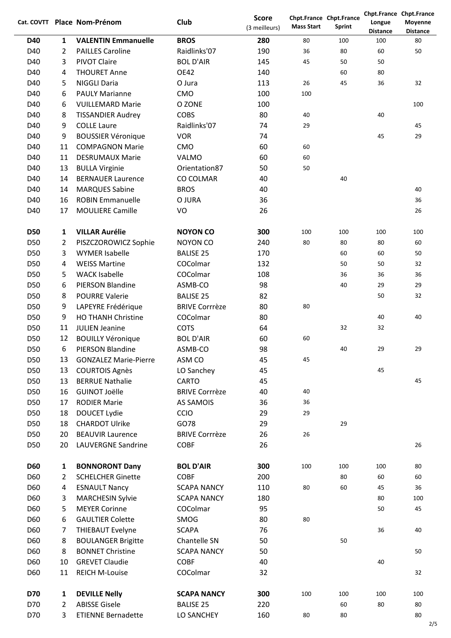|            |                | Cat. COVTT Place Nom-Prénom  | Club                  | <b>Score</b><br>(3 meilleurs) | <b>Mass Start</b> | Chpt.France Chpt.France<br>Sprint | Longue                 | Chpt.France Chpt.France<br>Moyenne |
|------------|----------------|------------------------------|-----------------------|-------------------------------|-------------------|-----------------------------------|------------------------|------------------------------------|
| <b>D40</b> | $\mathbf{1}$   | <b>VALENTIN Emmanuelle</b>   | <b>BROS</b>           | 280                           | 80                | 100                               | <b>Distance</b><br>100 | <b>Distance</b><br>80              |
| D40        | 2              | <b>PAILLES Caroline</b>      | Raidlinks'07          | 190                           | 36                | 80                                | 60                     | 50                                 |
| D40        | 3              | <b>PIVOT Claire</b>          | <b>BOL D'AIR</b>      | 145                           | 45                | 50                                | 50                     |                                    |
| D40        | 4              | <b>THOURET Anne</b>          | <b>OE42</b>           | 140                           |                   | 60                                | 80                     |                                    |
| D40        | 5              | <b>NIGGLI Daria</b>          | O Jura                | 113                           | 26                | 45                                | 36                     | 32                                 |
| D40        | 6              | <b>PAULY Marianne</b>        | CMO                   | 100                           | 100               |                                   |                        |                                    |
| D40        | 6              | <b>VUILLEMARD Marie</b>      | O ZONE                | 100                           |                   |                                   |                        | 100                                |
| D40        | 8              | <b>TISSANDIER Audrey</b>     | <b>COBS</b>           | 80                            | 40                |                                   | 40                     |                                    |
| D40        | 9              | <b>COLLE Laure</b>           | Raidlinks'07          | 74                            | 29                |                                   |                        | 45                                 |
| D40        | 9              | <b>BOUSSIER Véronique</b>    | <b>VOR</b>            | 74                            |                   |                                   | 45                     | 29                                 |
| D40        | 11             | <b>COMPAGNON Marie</b>       | CMO                   | 60                            | 60                |                                   |                        |                                    |
| D40        | 11             | <b>DESRUMAUX Marie</b>       | <b>VALMO</b>          | 60                            | 60                |                                   |                        |                                    |
| D40        | 13             | <b>BULLA Virginie</b>        | Orientation87         | 50                            | 50                |                                   |                        |                                    |
| D40        | 14             | <b>BERNAUER Laurence</b>     | CO COLMAR             | 40                            |                   | 40                                |                        |                                    |
| D40        | 14             | <b>MARQUES Sabine</b>        | <b>BROS</b>           | 40                            |                   |                                   |                        | 40                                 |
| D40        | 16             | <b>ROBIN Emmanuelle</b>      | O JURA                | 36                            |                   |                                   |                        | 36                                 |
| D40        | 17             | <b>MOULIERE Camille</b>      | VO                    | 26                            |                   |                                   |                        | 26                                 |
|            |                |                              |                       |                               |                   |                                   |                        |                                    |
| <b>D50</b> | $\mathbf{1}$   | <b>VILLAR Aurélie</b>        | <b>NOYON CO</b>       | 300                           | 100               | 100                               | 100                    | 100                                |
| D50        | 2              | PISZCZOROWICZ Sophie         | <b>NOYON CO</b>       | 240                           | 80                | 80                                | 80                     | 60                                 |
| D50        | 3              | <b>WYMER Isabelle</b>        | <b>BALISE 25</b>      | 170                           |                   | 60                                | 60                     | 50                                 |
| D50        | 4              | <b>WEISS Martine</b>         | COColmar              | 132                           |                   | 50                                | 50                     | 32                                 |
| D50        | 5              | <b>WACK Isabelle</b>         | COColmar              | 108                           |                   | 36                                | 36                     | 36                                 |
| D50        | 6              | PIERSON Blandine             | ASMB-CO               | 98                            |                   | 40                                | 29                     | 29                                 |
| D50        | 8              | <b>POURRE Valerie</b>        | <b>BALISE 25</b>      | 82                            |                   |                                   | 50                     | 32                                 |
| D50        | 9              | LAPEYRE Frédérique           | <b>BRIVE Corrrèze</b> | 80                            | 80                |                                   |                        |                                    |
| D50        | 9              | <b>HO THANH Christine</b>    | COColmar              | 80                            |                   |                                   | 40                     | 40                                 |
| D50        | 11             | <b>JULIEN Jeanine</b>        | <b>COTS</b>           | 64                            |                   | 32                                | 32                     |                                    |
| D50        | 12             | <b>BOUILLY Véronique</b>     | <b>BOL D'AIR</b>      | 60                            | 60                |                                   |                        |                                    |
| D50        | 6              | PIERSON Blandine             | ASMB-CO               | 98                            |                   | 40                                | 29                     | 29                                 |
| D50        | 13             | <b>GONZALEZ Marie-Pierre</b> | ASM CO                | 45                            | 45                |                                   |                        |                                    |
| D50        | 13             | <b>COURTOIS Agnès</b>        | LO Sanchey            | 45                            |                   |                                   | 45                     |                                    |
| D50        | 13             | <b>BERRUE Nathalie</b>       | CARTO                 | 45                            |                   |                                   |                        | 45                                 |
| D50        | 16             | <b>GUINOT Joëlle</b>         | <b>BRIVE Corrrèze</b> | 40                            | 40                |                                   |                        |                                    |
| D50        | 17             | <b>RODIER Marie</b>          | <b>AS SAMOIS</b>      | 36                            | 36                |                                   |                        |                                    |
| D50        | 18             | <b>DOUCET Lydie</b>          | CCIO                  | 29                            | 29                |                                   |                        |                                    |
| D50        | 18             | <b>CHARDOT Ulrike</b>        | GO78                  | 29                            |                   | 29                                |                        |                                    |
| D50        | 20             | <b>BEAUVIR Laurence</b>      | <b>BRIVE Corrrèze</b> | 26                            | 26                |                                   |                        |                                    |
| D50        | 20             | <b>LAUVERGNE Sandrine</b>    | <b>COBF</b>           | 26                            |                   |                                   |                        | 26                                 |
| <b>D60</b> | $\mathbf{1}$   | <b>BONNORONT Dany</b>        | <b>BOL D'AIR</b>      | 300                           | 100               | 100                               | 100                    | 80                                 |
| D60        | $\overline{2}$ | <b>SCHELCHER Ginette</b>     | <b>COBF</b>           | 200                           |                   | 80                                | 60                     | 60                                 |
| D60        | 4              | <b>ESNAULT Nancy</b>         | <b>SCAPA NANCY</b>    | 110                           | 80                | 60                                | 45                     | 36                                 |
| D60        | 3              | <b>MARCHESIN Sylvie</b>      | <b>SCAPA NANCY</b>    | 180                           |                   |                                   | 80                     | 100                                |
| D60        | 5              | <b>MEYER Corinne</b>         | COColmar              | 95                            |                   |                                   | 50                     | 45                                 |
| D60        | 6              | <b>GAULTIER Colette</b>      | SMOG                  | 80                            | 80                |                                   |                        |                                    |
| D60        | 7              | <b>THIEBAUT Evelyne</b>      | <b>SCAPA</b>          | 76                            |                   |                                   | 36                     | 40                                 |
| D60        | 8              | <b>BOULANGER Brigitte</b>    | Chantelle SN          | 50                            |                   | 50                                |                        |                                    |
| D60        | 8              | <b>BONNET Christine</b>      | <b>SCAPA NANCY</b>    | 50                            |                   |                                   |                        | 50                                 |
| D60        | 10             | <b>GREVET Claudie</b>        | <b>COBF</b>           | 40                            |                   |                                   | 40                     |                                    |
| D60        | 11             | <b>REICH M-Louise</b>        | COColmar              | 32                            |                   |                                   |                        | 32                                 |
| <b>D70</b> | $\mathbf{1}$   | <b>DEVILLE Nelly</b>         | <b>SCAPA NANCY</b>    | 300                           | 100               | 100                               | 100                    | 100                                |
| D70        | 2              | <b>ABISSE Gisele</b>         | <b>BALISE 25</b>      | 220                           |                   | 60                                | 80                     | 80                                 |
| D70        | 3              | <b>ETIENNE Bernadette</b>    | LO SANCHEY            | 160                           | 80                | 80                                |                        | 80                                 |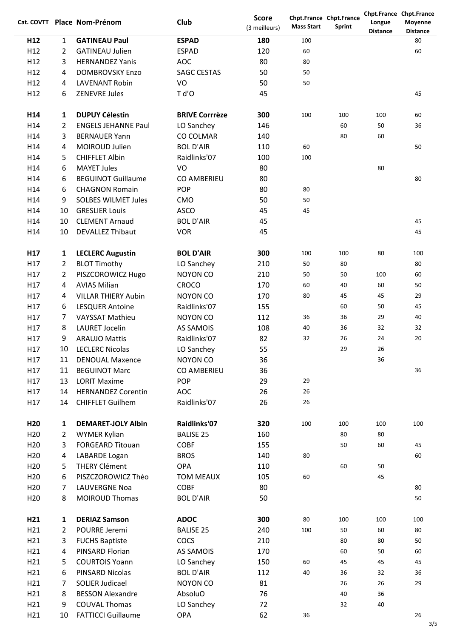|                 |                | Cat. COVTT Place Nom-Prénom | Club                  | <b>Score</b><br>(3 meilleurs) | <b>Mass Start</b> | Chpt.France Chpt.France<br>Sprint | Longue<br><b>Distance</b> | Chpt.France Chpt.France<br>Moyenne<br><b>Distance</b> |
|-----------------|----------------|-----------------------------|-----------------------|-------------------------------|-------------------|-----------------------------------|---------------------------|-------------------------------------------------------|
| H <sub>12</sub> | $\mathbf{1}$   | <b>GATINEAU Paul</b>        | <b>ESPAD</b>          | 180                           | 100               |                                   |                           | 80                                                    |
| H12             | $\overline{2}$ | <b>GATINEAU Julien</b>      | <b>ESPAD</b>          | 120                           | 60                |                                   |                           | 60                                                    |
| H12             | 3              | <b>HERNANDEZ Yanis</b>      | <b>AOC</b>            | 80                            | 80                |                                   |                           |                                                       |
| H12             | 4              | <b>DOMBROVSKY Enzo</b>      | <b>SAGC CESTAS</b>    | 50                            | 50                |                                   |                           |                                                       |
| H12             | 4              | <b>LAVENANT Robin</b>       | VO                    | 50                            | 50                |                                   |                           |                                                       |
| H12             | 6              | <b>ZENEVRE Jules</b>        | T d'O                 | 45                            |                   |                                   |                           | 45                                                    |
|                 |                |                             |                       |                               |                   |                                   |                           |                                                       |
| H14             | $\mathbf{1}$   | <b>DUPUY Célestin</b>       | <b>BRIVE Corrrèze</b> | 300                           | 100               | 100                               | 100                       | 60                                                    |
| H14             | 2              | <b>ENGELS JEHANNE Paul</b>  | LO Sanchey            | 146                           |                   | 60                                | 50                        | 36                                                    |
| H14             | 3              | <b>BERNAUER Yann</b>        | CO COLMAR             | 140                           |                   | 80                                | 60                        |                                                       |
| H14             | 4              | MOIROUD Julien              | <b>BOL D'AIR</b>      | 110                           | 60                |                                   |                           | 50                                                    |
| H14             | 5              | <b>CHIFFLET Albin</b>       | Raidlinks'07          | 100                           | 100               |                                   |                           |                                                       |
| H14             | 6              | <b>MAYET Jules</b>          | VO                    | 80                            |                   |                                   | 80                        |                                                       |
| H14             | 6              | <b>BEGUINOT Guillaume</b>   | <b>CO AMBERIEU</b>    | 80                            |                   |                                   |                           | 80                                                    |
| H14             | 6              | <b>CHAGNON Romain</b>       | <b>POP</b>            | 80                            | 80                |                                   |                           |                                                       |
| H14             | 9              | <b>SOLBES WILMET Jules</b>  | CMO                   | 50                            | 50                |                                   |                           |                                                       |
| H14             | 10             | <b>GRESLIER Louis</b>       | <b>ASCO</b>           | 45                            | 45                |                                   |                           |                                                       |
| H14             | 10             | <b>CLEMENT Arnaud</b>       | <b>BOL D'AIR</b>      | 45                            |                   |                                   |                           | 45                                                    |
| H14             | 10             | <b>DEVALLEZ Thibaut</b>     | <b>VOR</b>            | 45                            |                   |                                   |                           | 45                                                    |
|                 |                |                             |                       |                               |                   |                                   |                           |                                                       |
| H17             | $\mathbf{1}$   | <b>LECLERC Augustin</b>     | <b>BOL D'AIR</b>      | 300                           | 100               | 100                               | 80                        | 100                                                   |
| H17             | $\overline{2}$ | <b>BLOT Timothy</b>         | LO Sanchey            | 210                           | 50                | 80                                |                           | 80                                                    |
| H17             | $\overline{2}$ | PISZCOROWICZ Hugo           | <b>NOYON CO</b>       | 210                           | 50                | 50                                | 100                       | 60                                                    |
| H17             | 4              | <b>AVIAS Milian</b>         | <b>CROCO</b>          | 170                           | 60                | 40                                | 60                        | 50                                                    |
| H17             | 4              | <b>VILLAR THIERY Aubin</b>  | <b>NOYON CO</b>       | 170                           | 80                | 45                                | 45                        | 29                                                    |
| H17             | 6              | <b>LESQUER Antoine</b>      | Raidlinks'07          | 155                           |                   | 60                                | 50                        | 45                                                    |
| H17             | 7              | <b>VAYSSAT Mathieu</b>      | <b>NOYON CO</b>       | 112                           | 36                | 36                                | 29                        | 40                                                    |
| H17             | 8              | <b>LAURET Jocelin</b>       | AS SAMOIS             | 108                           | 40                | 36                                | 32                        | 32                                                    |
| H17             | 9              | <b>ARAUJO Mattis</b>        | Raidlinks'07          | 82                            | 32                | 26                                | 24                        | 20                                                    |
| H17             | 10             | <b>LECLERC Nicolas</b>      | LO Sanchey            | 55                            |                   | 29                                | 26                        |                                                       |
| H17             | 11             | <b>DENOUAL Maxence</b>      | <b>NOYON CO</b>       | 36                            |                   |                                   | 36                        |                                                       |
| H17             | 11             | <b>BEGUINOT Marc</b>        | CO AMBERIEU           | 36                            |                   |                                   |                           | 36                                                    |
| H17             | 13             | <b>LORIT Maxime</b>         | <b>POP</b>            | 29                            | 29                |                                   |                           |                                                       |
| H17             | 14             | <b>HERNANDEZ Corentin</b>   | <b>AOC</b>            | 26                            | 26                |                                   |                           |                                                       |
| H17             | 14             | <b>CHIFFLET Guilhem</b>     | Raidlinks'07          | 26                            | 26                |                                   |                           |                                                       |
|                 |                |                             |                       |                               |                   |                                   |                           |                                                       |
| H <sub>20</sub> | 1              | <b>DEMARET-JOLY Albin</b>   | Raidlinks'07          | 320                           | 100               | 100                               | 100                       | 100                                                   |
| H <sub>20</sub> | $\overline{2}$ | <b>WYMER Kylian</b>         | <b>BALISE 25</b>      | 160                           |                   | 80                                | 80                        |                                                       |
| H <sub>20</sub> | 3              | <b>FORGEARD Titouan</b>     | <b>COBF</b>           | 155                           |                   | 50                                | 60                        | 45                                                    |
| H <sub>20</sub> | 4              | LABARDE Logan               | <b>BROS</b>           | 140                           | 80                |                                   |                           | 60                                                    |
| H <sub>20</sub> | 5              | <b>THERY Clément</b>        | <b>OPA</b>            | 110                           |                   | 60                                | 50                        |                                                       |
| H <sub>20</sub> | 6              | PISZCZOROWICZ Théo          | <b>TOM MEAUX</b>      | 105                           | 60                |                                   | 45                        |                                                       |
| H <sub>20</sub> | 7              | <b>LAUVERGNE Noa</b>        | <b>COBF</b>           | 80                            |                   |                                   |                           | 80                                                    |
| H <sub>20</sub> | 8              | <b>MOIROUD Thomas</b>       | <b>BOL D'AIR</b>      | 50                            |                   |                                   |                           | 50                                                    |
|                 |                |                             |                       |                               |                   |                                   |                           |                                                       |
| H21             | $\mathbf{1}$   | <b>DERIAZ Samson</b>        | <b>ADOC</b>           | 300                           | 80                | 100                               | 100                       | 100                                                   |
| H <sub>21</sub> | $\overline{2}$ | POURRE Jeremi               | <b>BALISE 25</b>      | 240                           | 100               | 50                                | 60                        | 80                                                    |
| H <sub>21</sub> | 3              | <b>FUCHS Baptiste</b>       | <b>COCS</b>           | 210                           |                   | 80                                | 80                        | 50                                                    |
| H <sub>21</sub> | 4              | PINSARD Florian             | <b>AS SAMOIS</b>      | 170                           |                   | 60                                | 50                        | 60                                                    |
| H <sub>21</sub> | 5              | <b>COURTOIS Yoann</b>       | LO Sanchey            | 150                           | 60                | 45                                | 45                        | 45                                                    |
| H <sub>21</sub> | 6              | PINSARD Nicolas             | <b>BOL D'AIR</b>      | 112                           | 40                | 36                                | 32                        | 36                                                    |
| H <sub>21</sub> | 7              | SOLIER Judicael             | <b>NOYON CO</b>       | 81                            |                   | 26                                | 26                        | 29                                                    |
| H <sub>21</sub> | 8              | <b>BESSON Alexandre</b>     | AbsoluO               | 76                            |                   | 40                                | 36                        |                                                       |
| H <sub>21</sub> | 9              | <b>COUVAL Thomas</b>        | LO Sanchey            | 72                            |                   | 32                                | 40                        |                                                       |
| H <sub>21</sub> | 10             | <b>FATTICCI Guillaume</b>   | <b>OPA</b>            | 62                            | 36                |                                   |                           | 26                                                    |
|                 |                |                             |                       |                               |                   |                                   |                           |                                                       |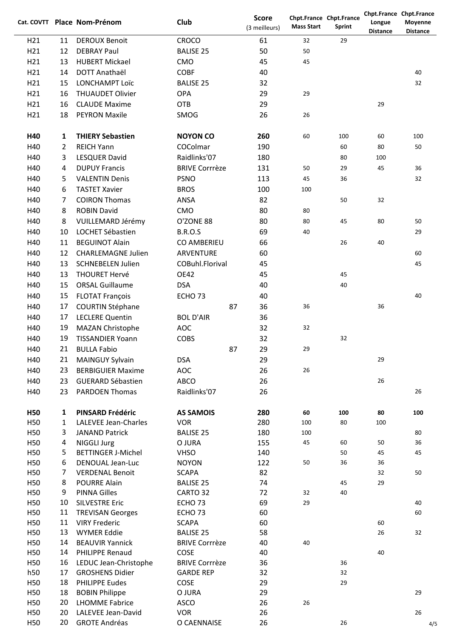|                 |                | Cat. COVTT Place Nom-Prénom                   | Club                        | <b>Score</b><br>(3 meilleurs) | <b>Mass Start</b> | Chpt.France Chpt.France<br><b>Sprint</b> | Longue<br><b>Distance</b> | Chpt.France Chpt.France<br>Moyenne<br><b>Distance</b> |
|-----------------|----------------|-----------------------------------------------|-----------------------------|-------------------------------|-------------------|------------------------------------------|---------------------------|-------------------------------------------------------|
| H <sub>21</sub> | 11             | <b>DEROUX Benoit</b>                          | <b>CROCO</b>                | 61                            | 32                | 29                                       |                           |                                                       |
| H21             | 12             | <b>DEBRAY Paul</b>                            | <b>BALISE 25</b>            | 50                            | 50                |                                          |                           |                                                       |
| H <sub>21</sub> | 13             | <b>HUBERT Mickael</b>                         | CMO                         | 45                            | 45                |                                          |                           |                                                       |
| H21             | 14             | DOTT Anathaël                                 | <b>COBF</b>                 | 40                            |                   |                                          |                           | 40                                                    |
| H21             | 15             | <b>LONCHAMPT Loïc</b>                         | <b>BALISE 25</b>            | 32                            |                   |                                          |                           | 32                                                    |
| H21             | 16             | <b>THUAUDET Olivier</b>                       | <b>OPA</b>                  | 29                            | 29                |                                          |                           |                                                       |
| H <sub>21</sub> | 16             | <b>CLAUDE Maxime</b>                          | <b>OTB</b>                  | 29                            |                   |                                          | 29                        |                                                       |
| H <sub>21</sub> | 18             | <b>PEYRON Maxile</b>                          | SMOG                        | 26                            | 26                |                                          |                           |                                                       |
| H40             | $\mathbf{1}$   | <b>THIERY Sebastien</b>                       | <b>NOYON CO</b>             | 260                           | 60                | 100                                      | 60                        | 100                                                   |
| H40             | $\overline{2}$ | <b>REICH Yann</b>                             | COColmar                    | 190                           |                   | 60                                       | 80                        | 50                                                    |
| H40             | 3              | <b>LESQUER David</b>                          | Raidlinks'07                | 180                           |                   | 80                                       | 100                       |                                                       |
| H40             | 4              | <b>DUPUY Francis</b>                          | <b>BRIVE Corrrèze</b>       | 131                           | 50                | 29                                       | 45                        | 36                                                    |
| H40             | 5              | <b>VALENTIN Denis</b>                         | <b>PSNO</b>                 | 113                           | 45                | 36                                       |                           | 32                                                    |
| H40             | 6              | <b>TASTET Xavier</b>                          | <b>BROS</b>                 | 100                           | 100               |                                          |                           |                                                       |
| H40             | 7              | <b>COIRON Thomas</b>                          | ANSA                        | 82                            |                   | 50                                       | 32                        |                                                       |
| H40             | 8              | <b>ROBIN David</b>                            | CMO                         | 80                            | 80                |                                          |                           |                                                       |
| H40             | 8              | VUILLEMARD Jérémy                             | O'ZONE 88                   | 80                            | 80                | 45                                       | 80                        | 50                                                    |
| H40             | 10             | LOCHET Sébastien                              | <b>B.R.O.S</b>              | 69                            | 40                |                                          |                           | 29                                                    |
| H40             | 11             | <b>BEGUINOT Alain</b>                         | CO AMBERIEU                 | 66                            |                   | 26                                       | 40                        |                                                       |
| H40             | 12             | <b>CHARLEMAGNE Julien</b>                     | ARVENTURE                   | 60                            |                   |                                          |                           | 60                                                    |
| H40             | 13             | <b>SCHNEBELEN Julien</b>                      | COBuhl.Florival             | 45                            |                   |                                          |                           | 45                                                    |
| H40             | 13             | <b>THOURET Hervé</b>                          | <b>OE42</b>                 | 45                            |                   | 45                                       |                           |                                                       |
| H40             | 15             | <b>ORSAL Guillaume</b>                        | <b>DSA</b>                  | 40                            |                   | 40                                       |                           |                                                       |
| H40             | 15             | <b>FLOTAT François</b>                        | ECHO <sub>73</sub>          | 40                            |                   |                                          |                           | 40                                                    |
| H40             | 17             | <b>COURTIN Stéphane</b>                       | 87                          | 36                            | 36                |                                          | 36                        |                                                       |
| H40             | 17             | <b>LECLERE Quentin</b>                        | <b>BOL D'AIR</b>            | 36                            |                   |                                          |                           |                                                       |
| H40             | 19             | MAZAN Christophe                              | <b>AOC</b>                  | 32                            | 32                |                                          |                           |                                                       |
| H40             | 19             | <b>TISSANDIER Yoann</b>                       | <b>COBS</b>                 | 32                            |                   | 32                                       |                           |                                                       |
| H40             | 21             | <b>BULLA Fabio</b>                            | 87                          | 29                            | 29                |                                          |                           |                                                       |
| H40             | 21             | MAINGUY Sylvain                               | <b>DSA</b>                  | 29                            |                   |                                          | 29                        |                                                       |
| H40             | 23             | <b>BERBIGUIER Maxime</b>                      | <b>AOC</b>                  | 26                            | 26                |                                          |                           |                                                       |
| H40             | 23             | <b>GUERARD Sébastien</b>                      | ABCO                        | 26                            |                   |                                          | 26                        |                                                       |
| H40             | 23             | <b>PARDOEN Thomas</b>                         | Raidlinks'07                | 26                            |                   |                                          |                           | 26                                                    |
| <b>H50</b>      | 1              | <b>PINSARD Frédéric</b>                       | <b>AS SAMOIS</b>            | 280                           | 60                | 100                                      | 80                        | 100                                                   |
| H50             | $\mathbf{1}$   | LALEVEE Jean-Charles                          | <b>VOR</b>                  | 280                           | 100               | 80                                       | 100                       |                                                       |
| H50             | 3              | <b>JANAND Patrick</b>                         | <b>BALISE 25</b>            | 180                           | 100               |                                          |                           | 80                                                    |
| H50             | 4              | <b>NIGGLI Jurg</b>                            | O JURA                      | 155                           | 45                | 60                                       | 50                        | 36                                                    |
| H50             | 5<br>6         | <b>BETTINGER J-Michel</b><br>DENOUAL Jean-Luc | <b>VHSO</b><br><b>NOYON</b> | 140                           |                   | 50                                       | 45                        | 45                                                    |
| H50<br>H50      | 7              | <b>VERDENAL Benoit</b>                        | <b>SCAPA</b>                | 122<br>82                     | 50                | 36                                       | 36<br>32                  | 50                                                    |
| H50             | 8              | <b>POURRE Alain</b>                           | <b>BALISE 25</b>            | 74                            |                   | 45                                       | 29                        |                                                       |
| H50             | 9              | <b>PINNA Gilles</b>                           | CARTO 32                    | 72                            | 32                | 40                                       |                           |                                                       |
| H50             | 10             | <b>SILVESTRE Eric</b>                         | ECHO <sub>73</sub>          | 69                            | 29                |                                          |                           | 40                                                    |
| H50             | 11             | <b>TREVISAN Georges</b>                       | ECHO <sub>73</sub>          | 60                            |                   |                                          |                           | 60                                                    |
| H50             | 11             | <b>VIRY Frederic</b>                          | <b>SCAPA</b>                | 60                            |                   |                                          | 60                        |                                                       |
| H50             | 13             | <b>WYMER Eddie</b>                            | <b>BALISE 25</b>            | 58                            |                   |                                          | 26                        | 32                                                    |
| H50             | 14             | <b>BEAUVIR Yannick</b>                        | <b>BRIVE Corrrèze</b>       | 40                            | 40                |                                          |                           |                                                       |
| H50             | 14             | PHILIPPE Renaud                               | COSE                        | 40                            |                   |                                          | 40                        |                                                       |
| H50             | 16             | LEDUC Jean-Christophe                         | <b>BRIVE Corrrèze</b>       | 36                            |                   | 36                                       |                           |                                                       |
| h50             | 17             | <b>GROSHENS Didier</b>                        | <b>GARDE REP</b>            | 32                            |                   | 32                                       |                           |                                                       |
| H50             | 18             | <b>PHILIPPE Eudes</b>                         | COSE                        | 29                            |                   | 29                                       |                           |                                                       |
| H50             | 18             | <b>BOBIN Philippe</b>                         | O JURA                      | 29                            |                   |                                          |                           | 29                                                    |
| H50             | 20             | <b>LHOMME Fabrice</b>                         | <b>ASCO</b>                 | 26                            | 26                |                                          |                           |                                                       |
| H50             | 20             | LALEVEE Jean-David                            | <b>VOR</b>                  | 26                            |                   |                                          |                           | 26                                                    |
| H50             | 20             | <b>GROTE Andréas</b>                          | O CAENNAISE                 | 26                            |                   | 26                                       |                           | 4/5                                                   |